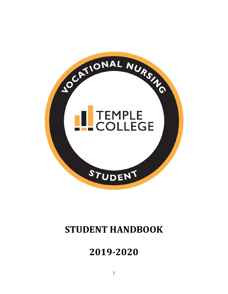

# **STUDENT HANDBOOK**

# **‐2020**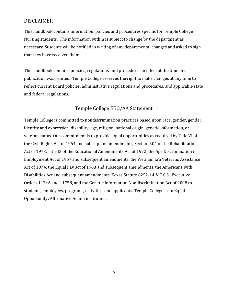### DISCLAIMER

This handbook contains information, policies and procedures specific for Temple College Nursing students. The information within is subject to change by the department as necessary. Students will be notified in writing of any departmental changes and asked to sign that they have received them.

This handbook contains policies, regulations, and procedures in effect at the time this publication was printed. Temple College reserves the right to make changes at any time to reflect current Board policies, administrative regulations and procedures, and applicable state and federal regulations.

# Temple College EEO/AA Statement

Temple College is committed to nondiscrimination practices based upon race, gender, gender identity and expression, disability, age, religion, national origin, genetic information, or veteran status. Our commitment is to provide equal opportunities as required by Title VI of the Civil Rights Act of 1964 and subsequent amendments, Section 504 of the Rehabilitation Act of 1973, Title IX of the Educational Amendments Act of 1972, the Age Discrimination in Employment Act of 1967 and subsequent amendments, the Vietnam Era Veterans Assistance Act of 1974; the Equal Pay act of 1963 and subsequent amendments, the Americans with Disabilities Act and subsequent amendments, Texas Statute 6252-14-V.T.C.S., Executive Orders 11246 and 11758, and the Genetic Information Nondiscrimination Act of 2008 to students, employees, programs, activities, and applicants. Temple College is an Equal Opportunity/Affirmative Action institution.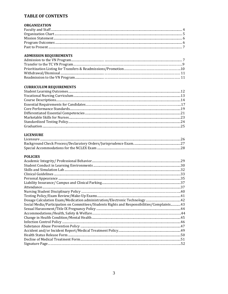#### **TABLE OF CONTENTS**

| <b>ORGANIZATION</b> |  |
|---------------------|--|
|                     |  |
|                     |  |
|                     |  |
|                     |  |
|                     |  |

#### **ADMISSION REQUIREMENTS**

#### **CURRICULUM REQUIREMENTS**

#### **LICENSURE**

#### **POLICIES**

| Social Media/Participation on Committees/Students Rights and Responsibilities/Complaints43 |  |
|--------------------------------------------------------------------------------------------|--|
|                                                                                            |  |
|                                                                                            |  |
|                                                                                            |  |
|                                                                                            |  |
|                                                                                            |  |
|                                                                                            |  |
|                                                                                            |  |
|                                                                                            |  |
|                                                                                            |  |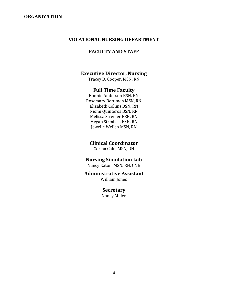#### **ORGANIZATION**

#### **VOCATIONAL NURSING DEPARTMENT**

#### **FACULTY AND STAFF**

#### **Executive Director, Nursing**

Tracey D. Cooper, MSN, RN

#### **Full Time Faculty**

Bonnie Anderson BSN, RN Rosemary Berumen MSN, RN Elizabeth Collins BSN, RN Niomi Quinteros BSN, RN Melissa Streeter BSN, RN Megan Strmiska BSN, RN Jewelle Welleh MSN, RN

### **Clinical Coordinator**

Corina Cain, MSN, RN

### **Nursing Simulation Lab**

Nancy Eaton, MSN, RN, CNE

# **Administrative Assistant**

William Jones

#### **Secretary**

Nancy Miller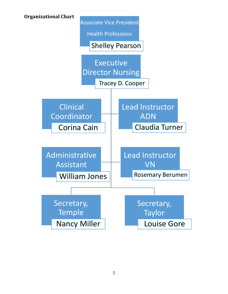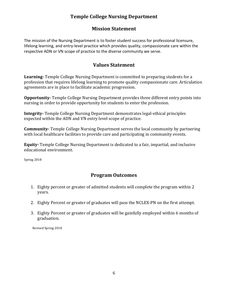# **Temple College Nursing Department**

# **Mission Statement**

The mission of the Nursing Department is to foster student success for professional licensure, lifelong learning, and entry‐level practice which provides quality, compassionate care within the respective ADN or VN scope of practice to the diverse community we serve.

# **Values Statement**

**Learning** Temple College Nursing Department is committed to preparing students for a profession that requires lifelong learning to promote quality compassionate care. Articulation agreements are in place to facilitate academic progression.

**Opportunity**<sub></sub> Temple College Nursing Department provides three different entry points into nursing in order to provide opportunity for students to enter the profession.

**Integrity** Temple College Nursing Department demonstrates legal-ethical principles expected within the ADN and VN entry level scope of practice.

**Community** Temple College Nursing Department serves the local community by partnering with local healthcare facilities to provide care and participating in community events.

**Equity** Temple College Nursing Department is dedicated to a fair, impartial, and inclusive educational environment.

Spring 2018

# **Program Outcomes**

- 1. Eighty percent or greater of admitted students will complete the program within 2 years.
- 2. Eighty Percent or greater of graduates will pass the NCLEX-PN on the first attempt.
- 3. Eighty Percent or greater of graduates will be gainfully employed within 6 months of graduation.

 Revised Spring 2018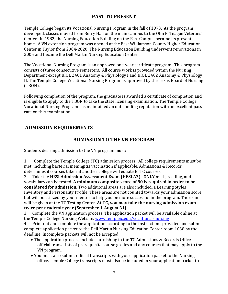# **PAST TO PRESENT**

Temple College began its Vocational Nursing Program in the fall of 1973. As the program developed, classes moved from Berry Hall on the main campus to the Olin E. Teague Veterans' Center. In 1982, the Nursing Education Building on the East Campus became its present home. A VN extension program was opened at the East Williamson County Higher Education Center in Taylor from 2004-2020. The Nursing Education Building underwent renovations in 2005 and became the Dell Martin Nursing Education Center.

The Vocational Nursing Program is an approved one-year certificate program. This program consists of three consecutive semesters. All course work is provided within the Nursing Department except BIOL 2401 Anatomy & Physiology I and BIOL 2402 Anatomy & Physiology II. The Temple College Vocational Nursing Program is approved by the Texas Board of Nursing (TBON). 

Following completion of the program, the graduate is awarded a certificate of completion and is eligible to apply to the TBON to take the state licensing examination. The Temple College Vocational Nursing Program has maintained an outstanding reputation with an excellent pass rate on this examination.

# **ADMISSION REQUIREMENTS**

### **ADMISSION TO THE VN PROGRAM**

Students desiring admission to the VN program must:

1. Complete the Temple College (TC) admission process. All college requirements must be met, including bacterial meningitis vaccination if applicable. Admissions  $\&$  Records determines if courses taken at another college will equate to TC courses.

2. Take the **HESI Admission Assessment Exam (HESI A2). ONLY** math, reading, and vocabulary can be tested. **A minimum composite score of 80 is required in order to be considered for admission.** Two additional areas are also included, a Learning Styles Inventory and Personality Profile. These areas are not counted towards your admission score but will be utilized by your mentor to help you be more successful in the program. The exam will be given at the TC Testing Center. **At TC, you may take the nursing admission exam twice per academic year (September 1‐August 31).**

3. Complete the VN application process. The application packet will be available online at the Temple College Nursing Website. www.templejc.edu/vocational-nursing

4. Print out and complete the application according to the instructions provided and submit complete application packet to the Dell Martin Nursing Education Center room 1038 by the deadline. Incomplete packets will not be accepted.

- The application process includes furnishing to the TC Admissions & Records Office official transcripts of prerequisite course grades and any courses that may apply to the VN program.
- You must also submit official transcripts with your application packet to the Nursing office. Temple College transcripts must also be included in your application packet to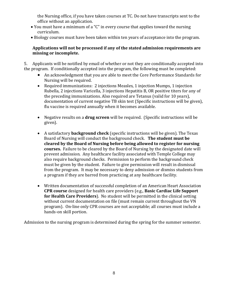the Nursing office, if you have taken courses at TC. Do not have transcripts sent to the office without an application.

- You must have a minimum of a "C" in every course that applies toward the nursing curriculum.
- Biology courses must have been taken within ten years of acceptance into the program.

#### **Applications will not be processed if any of the stated admission requirements are missing or incomplete.**

5. Applicants will be notified by email of whether or not they are conditionally accepted into the program. If conditionally accepted into the program, the following must be completed:

- An acknowledgment that you are able to meet the Core Performance Standards for Nursing will be required.
- Required immunizations: 2 injections Measles, 1 injection Mumps, 1 injection Rubella, 2 injections Varicella, 3 injections Hepatitis B, OR positive titers for any of the preceding immunizations. Also required are Tetanus (valid for 10 years), documentation of current negative TB skin test (Specific instructions will be given), flu vaccine is required annually when it becomes available.
- Negative results on a **drug screen** will be required. (Specific instructions will be given).
- A satisfactory **background check** (specific instructions will be given). The Texas Board of Nursing will conduct the background check. **The student must be cleared by the Board of Nursing before being allowed to register for nursing courses.** Failure to be cleared by the Board of Nursing by the designated date will prevent admission. Any healthcare facility associated with Temple College may also require background checks. Permission to perform the background check must be given by the student. Failure to give permission will result in dismissal from the program. It may be necessary to deny admission or dismiss students from a program if they are barred from practicing at any healthcare facility.
- Written documentation of successful completion of an American Heart Association **CPR course** designed for health care providers (e.g., **Basic Cardiac Life Support for Health Care Providers**). No student will be permitted in the clinical setting without current documentation on file (must remain current throughout the VN program). On-line only CPR courses are not acceptable; all courses must include a hands-on skill portion.

Admission to the nursing program is determined during the spring for the summer semester.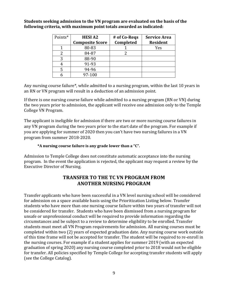| Points* | <b>HESIA2</b>          | # of Co-Regs | <b>Service Area</b> |
|---------|------------------------|--------------|---------------------|
|         | <b>Composite Score</b> | Completed    | <b>Resident</b>     |
|         | 80-83                  |              | Yes                 |
|         | 84-87                  |              |                     |
| 3       | 88-90                  |              |                     |
|         | 91-93                  |              |                     |
|         | 94-96                  |              |                     |
|         | 97-100                 |              |                     |

**Students seeking admission to the VN program are evaluated on the basis of the following criteria, with maximum point totals awarded as indicated:**

Any nursing course failure\*, while admitted to a nursing program, within the last 10 years in an RN or VN program will result in a deduction of an admission point.

If there is one nursing course failure while admitted to a nursing program  $(RN$  or  $VN$ ) during the two years prior to admission, the applicant will receive one admission only to the Temple College VN Program.

The applicant is ineligible for admission if there are two or more nursing course failures in any VN program during the two years prior to the start date of the program. For example if you are applying for summer of 2020 then you can't have two nursing failures in a VN program from summer 2018-2020.

#### **\*A nursing course failure is any grade lower than a "C".**

Admission to Temple College does not constitute automatic acceptance into the nursing program. In the event the application is rejected, the applicant may request a review by the Executive Director of Nursing.

### **TRANSFER TO THE TC VN PROGRAM FROM ANOTHER NURSING PROGRAM**

Transfer applicants who have been successful in a VN level nursing school will be considered for admission on a space available basis using the Prioritization Listing below. Transfer students who have more than one nursing course failure within two years of transfer will not be considered for transfer. Students who have been dismissed from a nursing program for unsafe or unprofessional conduct will be required to provide information regarding the circumstances and be subject to a review to determine eligibility to be enrolled. Transfer students must meet all VN Program requirements for admission. All nursing courses must be completed within two (2) years of expected graduation date. Any nursing course work outside of this time frame will not be accepted for transfer. The student will be required to re-enroll in the nursing courses. For example if a student applies for summer 2019 (with an expected graduation of spring 2020) any nursing course completed prior to 2018 would not be eligible for transfer. All policies specified by Temple College for accepting transfer students will apply (see the College Catalog).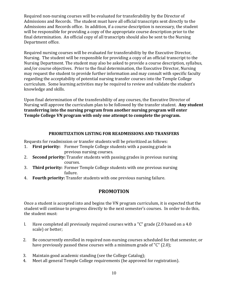Required non-nursing courses will be evaluated for transferability by the Director of Admissions and Records. The student must have all official transcripts sent directly to the Admissions and Records office. In addition, if a course description is necessary, the student will be responsible for providing a copy of the appropriate course description prior to the final determination. An official copy of all transcripts should also be sent to the Nursing Department office.

Required nursing courses will be evaluated for transferability by the Executive Director, Nursing. The student will be responsible for providing a copy of an official transcript to the Nursing Department. The student may also be asked to provide a course description, syllabus, and/or course objectives. Prior to the final determination, the Executive Director, Nursing may request the student to provide further information and may consult with specific faculty regarding the acceptability of potential nursing transfer courses into the Temple College curriculum. Some learning activities may be required to review and validate the student's knowledge and skills.

Upon final determination of the transferability of any courses, the Executive Director of Nursing will approve the curriculum plan to be followed by the transfer student. Any student **transferring into the nursing program from another nursing program will enter Temple College VN program with only one attempt to complete the program.**

#### **PRIORITIZATION LISTING FOR READMISSIONS AND TRANSFERS**

Requests for readmission or transfer students will be prioritized as follows:

- 1. **First priority:** Former Temple College students with a passing grade in previous nursing courses.
- 2. **Second priority:** Transfer students with passing grades in previous nursing courses.
- 3. **Third priority:** Former Temple College students with one previous nursing failure.
- 4. Fourth priority: Transfer students with one previous nursing failure.

# **PROMOTION**

Once a student is accepted into and begins the VN program curriculum, it is expected that the student will continue to progress directly to the next semester's courses. In order to do this, the student must:

- l. Have completed all previously required courses with a "C" grade  $(2.0 \text{ based on a } 4.0 \text{)}$ scale) or better:
- 2. Be concurrently enrolled in required non-nursing courses scheduled for that semester, or have previously passed these courses with a minimum grade of " $C$ " (2.0);
- 3. Maintain good academic standing (see the College Catalog);
- 4. Meet all general Temple College requirements (be approved for registration).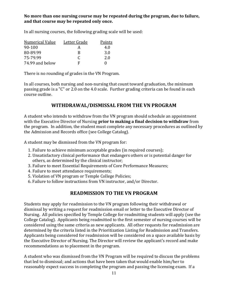#### **No more than one nursing course may be repeated during the program, due to failure, and that course may be repeated only once.**

In all nursing courses, the following grading scale will be used:

| Numerical Value | Letter Grade | Points            |
|-----------------|--------------|-------------------|
| 90-100          | А            | 4.0               |
| 80-89.99        | R            | 3.0               |
| 75-79.99        | C            | 2.0               |
| 74.99 and below | F            | $\mathbf{\Omega}$ |

There is no rounding of grades in the VN Program.

In all courses, both nursing and non-nursing that count toward graduation, the minimum passing grade is a "C" or 2.0 on the 4.0 scale. Further grading criteria can be found in each course outline. 

# **WITHDRAWAL/DISMISSAL FROM THE VN PROGRAM**

A student who intends to withdraw from the VN program should schedule an appointment with the Executive Director of Nursing **prior to making a final decision to withdraw** from the program. In addition, the student must complete any necessary procedures as outlined by the Admission and Records office (see College Catalog).

A student may be dismissed from the VN program for:

- 1. Failure to achieve minimum acceptable grades (in required courses);
- 2. Unsatisfactory clinical performance that endangers others or is potential danger for others, as determined by the clinical instructor;
- 3. Failure to meet Essential Requirements of Core Performance Measures;
- 4. Failure to meet attendance requirements;
- 5. Violation of VN program or Temple College Policies;
- 6. Failure to follow instructions from VN instructor, and/or Director.

# **READMISSION TO THE VN PROGRAM**

Students may apply for readmission to the VN program following their withdrawal or dismissal by writing a request for readmission email or letter to the Executive Director of Nursing. All policies specified by Temple College for readmitting students will apply (see the College Catalog). Applicants being readmitted to the first semester of nursing courses will be considered using the same criteria as new applicants. All other requests for readmission are determined by the criteria listed in the Prioritization Listing for Readmission and Transfers. Applicants being considered for readmission will be considered on a space available basis by the Executive Director of Nursing. The Director will review the applicant's record and make recommendations as to placement in the program.

A student who was dismissed from the VN Program will be required to discuss the problems that led to dismissal; and actions that have been taken that would enable him/her to reasonably expect success in completing the program and passing the licensing exam. If a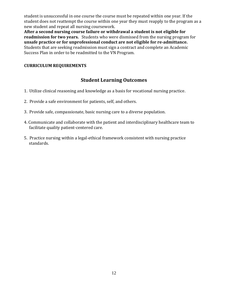student is unsuccessful in one course the course must be repeated within one year. If the student does not reattempt the course within one year they must reapply to the program as a new student and repeat all nursing coursework.

**After a second nursing course failure or withdrawal a student is not eligible for readmission for two years.** Students who were dismissed from the nursing program for **unsafe practice or for unprofessional conduct are not eligible for re‐admittance.** Students that are seeking readmission must sign a contract and complete an Academic Success Plan in order to be readmitted to the VN Program.

### **CURRICULUM REQUIREMENTS**

# **Student Learning Outcomes**

- 1. Utilize clinical reasoning and knowledge as a basis for vocational nursing practice.
- 2. Provide a safe environment for patients, self, and others.
- 3. Provide safe, compassionate, basic nursing care to a diverse population.
- 4. Communicate and collaborate with the patient and interdisciplinary healthcare team to facilitate quality patient-centered care.
- 5. Practice nursing within a legal-ethical framework consistent with nursing practice standards.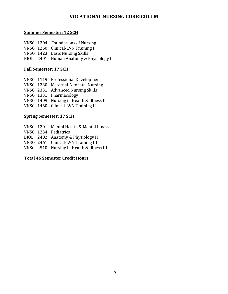# **VOCATIONAL NURSING CURRICULUM**

#### **Summer Semester: 12 SCH**

- VNSG 1204 Foundations of Nursing
- VNSG 1260 Clinical-LVN Training I
- VNSG 1423 Basic Nursing Skills
- BIOL 2401 Human Anatomy & Physiology I

### **Fall Semester: 17 SCH**

- VNSG 1119 Professional Development
- VNSG 1230 Maternal-Neonatal Nursing
- VNSG 2331 Advanced Nursing Skills
- VNSG 1331 Pharmacology
- VNSG 1409 Nursing in Health & Illness II
- VNSG 1460 Clinical-LVN Training II

### **Spring Semester: 17 SCH**

- VNSG 1201 Mental Health & Mental Illness
- VNSG 1234 Pediatrics
- BIOL 2402 Anatomy & Physiology II
- VNSG 2461 Clinical-LVN Training III
- VNSG 2510 Nursing in Health & Illness III

### **Total 46 Semester Credit Hours**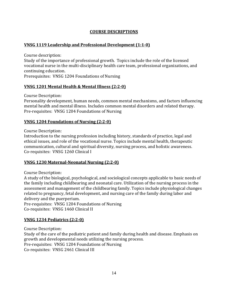### **COURSE DESCRIPTIONS**

#### **VNSG 1119 Leadership and Professional Development (1:1‐0)**

Course description:

Study of the importance of professional growth. Topics include the role of the licensed vocational nurse in the multi-disciplinary health care team, professional organizations, and continuing education.

Prerequisites: VNSG 1204 Foundations of Nursing

#### **VNSG 1201 Mental Health & Mental Illness (2:2‐0)**

Course Description: 

Personality development, human needs, common mental mechanisms, and factors influencing mental health and mental illness. Includes common mental disorders and related therapy. Pre-requisites: VNSG 1204 Foundations of Nursing

#### **VNSG 1204 Foundations of Nursing (2:2‐0)**

Course Description: 

Introduction to the nursing profession including history, standards of practice, legal and ethical issues, and role of the vocational nurse. Topics include mental health, therapeutic communication, cultural and spiritual diversity, nursing process, and holistic awareness. Co-requisites: VNSG 1260 Clinical I

#### **VNSG 1230 Maternal‐Neonatal Nursing (2:2‐0)**

Course Description: 

A study of the biological, psychological, and sociological concepts applicable to basic needs of the family including childbearing and neonatal care. Utilization of the nursing process in the assessment and management of the childbearing family. Topics include physiological changes related to pregnancy, fetal development, and nursing care of the family during labor and delivery and the puerperium.

Pre-requisites: VNSG 1204 Foundations of Nursing Co-requisites: VNSG 1460 Clinical II

#### **VNSG 1234 Pediatrics (2:2‐0)**

Course Description: Study of the care of the pediatric patient and family during health and disease. Emphasis on growth and developmental needs utilizing the nursing process. Pre-requisites: VNSG 1204 Foundations of Nursing Co-requisites: VNSG 2461 Clinical III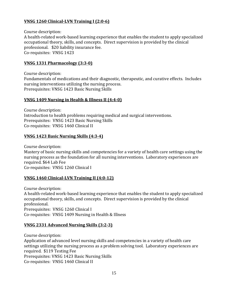### **VNSG 1260 Clinical‐LVN Training I (2:0‐6)**

Course description:

A health-related work-based learning experience that enables the student to apply specialized occupational theory, skills, and concepts. Direct supervision is provided by the clinical professional. \$20 liability insurance fee. Co-requisites: VNSG 1423

#### **VNSG 1331 Pharmacology (3:3‐0)**

Course description: Fundamentals of medications and their diagnostic, therapeutic, and curative effects. Includes nursing interventions utilizing the nursing process. Prerequisites: VNSG 1423 Basic Nursing Skills

#### **VNSG 1409 Nursing in Health & Illness II (4:4‐0)**

Course description: Introduction to health problems requiring medical and surgical interventions. Prerequisites: VNSG 1423 Basic Nursing Skills Co-requisites: VNSG 1460 Clinical II

#### **VNSG 1423 Basic Nursing Skills (4:3‐4)**

Course description:

Mastery of basic nursing skills and competencies for a variety of health care settings using the nursing process as the foundation for all nursing interventions. Laboratory experiences are required. \$64 Lab Fee Co-requisites: VNSG 1260 Clinical I

#### **VNSG 1460 Clinical‐LVN Training II (4:0‐12)**

Course description:

A health-related work-based learning experience that enables the student to apply specialized occupational theory, skills, and concepts. Direct supervision is provided by the clinical professional. 

Prerequisites: VNSG 1260 Clinical I Co-requisites: VNSG 1409 Nursing in Health & Illness

#### **VNSG 2331 Advanced Nursing Skills (3:2‐3)**

Course description: Application of advanced level nursing skills and competencies in a variety of health care settings utilizing the nursing process as a problem solving tool. Laboratory experiences are required. \$119 Testing Fee Prerequisites: VNSG 1423 Basic Nursing Skills Co-requisites: VNSG 1460 Clinical II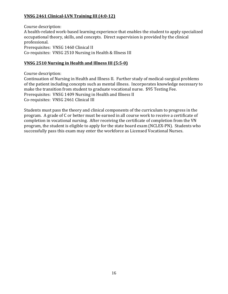### **VNSG 2461 Clinical‐LVN Training III (4:0‐12)**

Course description: A health-related work-based learning experience that enables the student to apply specialized occupational theory, skills, and concepts. Direct supervision is provided by the clinical professional. Prerequisites: VNSG 1460 Clinical II Co-requisites: VNSG 2510 Nursing in Health & Illness III

#### **VNSG 2510 Nursing in Health and Illness III (5:5‐0)**

Course description:

Continuation of Nursing in Health and Illness II. Further study of medical-surgical problems of the patient including concepts such as mental illness. Incorporates knowledge necessary to make the transition from student to graduate vocational nurse. \$95 Testing Fee. Prerequisites: VNSG 1409 Nursing in Health and Illness II Co-requisites: VNSG 2461 Clinical III

Students must pass the theory and clinical components of the curriculum to progress in the program. A grade of C or better must be earned in all course work to receive a certificate of completion in vocational nursing. After receiving the certificate of completion from the VN program, the student is eligible to apply for the state board exam (NCLEX-PN). Students who successfully pass this exam may enter the workforce as Licensed Vocational Nurses.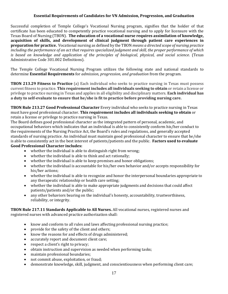#### **Essential Requirements of Candidates for VN Admission, Progression, and Graduation**

Successful completion of Temple College's Vocational Nursing program, signifies that the holder of that certificate has been educated to competently practice vocational nursing and to apply for licensure with the Texas Board of Nursing (TBON). **The education of a vocational nurse requires assimilation of knowledge, acquisition of skills, and development of clinical judgment through patient care experiences in preparation for practice.** Vocational nursing as defined by the TBON *means* a directed scope of *nursing* practice including the performance of an act that requires specialized judgment and skill, the proper performance of which *is based on knowledge and application of the principles of biological, physical, and social science*. (Texas Administrative Code 301.002 Definitions).

The Temple College Vocational Nursing Program utilizes the following state and national standards to determine **Essential Requirements** for *admission, progression, and graduation* from the program. 

**TBON 213.29 Fitness to Practice** (a) Each individual who seeks to practice nursing in Texas must possess current fitness to practice. **This requirement includes all individuals seeking to obtain** or retain a license or privilege to practice nursing in Texas and applies in all eligibility and disciplinary matters. **Each individual has a duty to self‐evaluate to ensure that he/she is fit to practice before providing nursing care.**

**TBON Rule 213.27 Good Professional Character** Every individual who seeks to practice nursing in Texas must have good professional character. **This requirement includes all individuals seeking to obtain** or retain a license or privilege to practice nursing in Texas.

The Board defines good professional character as the integrated pattern of personal, academic, and occupational behaviors which indicates that an individual is able to consistently conform his/her conduct to the requirements of the Nursing Practice Act, the Board's rules and regulations, and generally accepted standards of nursing practice. An individual must maintain good professional character to ensure that he/she is able to consistently act in the best interest of patients/patients and the public. **Factors used to evaluate Good Professional Character includes:** 

- whether the individual is able to distinguish right from wrong;
- whether the individual is able to think and act rationally;
- whether the individual is able to keep promises and honor obligations;
- whether the individual is accountable for his/her own behavior and/or accepts responsibility for his/her actions:
- whether the individual is able to recognize and honor the interpersonal boundaries appropriate to any therapeutic relationship or health care setting;
- whether the individual is able to make appropriate judgments and decisions that could affect patients/patients and/or the public;
- any other behaviors bearing on the individual's honesty, accountability, trustworthiness, reliability, or integrity.

**TBON** Rule 217.11 **Standards Applicable to All Nurses.** All vocational nurses, registered nurses and registered nurses with advanced practice authorization shall:

- know and conform to all rules and laws affecting professional nursing practice;
- provide for the safety of the client and others:
- know the reasons for and effects of drugs administered;
- accurately report and document client care;
- respect a client's right to privacy;
- $\bullet$  obtain instruction and supervision as needed when performing tasks;
- maintain professional boundaries;
- not commit abuse, exploitation, or fraud;
- demonstrate knowledge, skill, judgment, and conscientiousness when performing client care;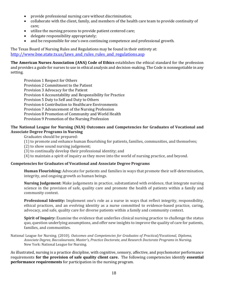- provide professional nursing care without discrimination;
- collaborate with the client, family, and members of the health care team to provide continuity of care;
- utilize the nursing process to provide patient centered care;
- $\bullet$  delegate responsibility appropriately;
- and be responsible for one's own continuing competence and professional growth.

The Texas Board of Nursing Rules and Regulations may be found in their entirety at: http://www.bne.state.tx.us/laws and rules rules and regulations.asp

**The American Nurses Association (ANA) Code of Ethics establishes the ethical standard for the profession** and provides a guide for nurses to use in ethical analysis and decision-making. The Code is nonnegotiable in any setting. 

Provision 1 Respect for Others Provision 2 Commitment to the Patient Provision 3 Advocacy for the Patient Provision 4 Accountability and Responsibility for Practice Provision 5 Duty to Self and Duty to Others Provision 6 Contribution to Healthcare Environments Provision 7 Advancement of the Nursing Profession Provision 8 Promotion of Community and World Health Provision 9 Promotion of the Nursing Profession

#### **The National League for Nursing (NLN) Outcomes and Competencies for Graduates of Vocational and Associate Degree Programs in Nursing**

Graduates should be prepared:

(1) to promote and enhance human flourishing for patients, families, communities, and themselves;

 $(2)$  to show sound nursing judgement;

(3) to continually develop their professional identity; and

(4) to maintain a spirit of inquiry as they move into the world of nursing practice, and beyond.

#### **Competencies for Graduates of Vocational and Associate Degree Programs**

**Human Flourishing:** Advocate for patients and families in ways that promote their self-determination, integrity, and ongoing growth as human beings.

**Nursing Judgement:** Make judgements in practice, substantiated with evidence, that integrate nursing science in the provision of safe, quality care and promote the health of patients within a family and community context.

**Professional Identity:** Implement one's role as a nurse in ways that reflect integrity, responsibility, ethical practices, and an evolving identity as a nurse committed to evidence-based practice, caring, advocacy, and safe, quality care for diverse patients within a family and community context.

**Spirit of Inquiry:** Examine the evidence that underlies clinical nursing practice to challenge the status quo, question underlying assumptions, and offer new insights to improve the quality of care for patients, families, and communities.

National League for Nursing. (2010). *Outcomes and Competencies for Graduates of Practical/Vocational, Diploma, Associate Degree, Baccalaureate, Master's, Practice Doctorate, and Research Doctorate Programs in Nursing*. New York: National League for Nursing.

As illustrated, nursing is a practice discipline, with cognitive, sensory, affective, and psychomotor performance requirements **for the provision of safe quality client care.** The following competencies identify **essential performance requirements** for participation in the nursing program.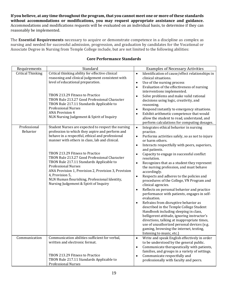If you believe, at any time throughout the program, that you cannot meet one or more of these standards **without accommodations or modifications, you may request appropriate assistance and guidance.** Accommodations and modifications requests will be evaluated on an individual basis, to determine if they can reasonably be implemented.

The **Essential Requirements** necessary to acquire or demonstrate competence in a discipline as complex as nursing and needed for successful admission, progression, and graduation by candidates for the Vocational or Associate Degree in Nursing from Temple College include, but are not limited to the following abilities:

| Requirements             | Standard                                                                                                                                                                                                                                                                                                                                                                                                                                                                                                                                      | <b>Examples of Necessary Activities</b>                                                                                                                                                                                                                                                                                                                                                                                                                                                                                                                                                                                                                                                                                                                                                                                                                                                                                                                                                                                                              |
|--------------------------|-----------------------------------------------------------------------------------------------------------------------------------------------------------------------------------------------------------------------------------------------------------------------------------------------------------------------------------------------------------------------------------------------------------------------------------------------------------------------------------------------------------------------------------------------|------------------------------------------------------------------------------------------------------------------------------------------------------------------------------------------------------------------------------------------------------------------------------------------------------------------------------------------------------------------------------------------------------------------------------------------------------------------------------------------------------------------------------------------------------------------------------------------------------------------------------------------------------------------------------------------------------------------------------------------------------------------------------------------------------------------------------------------------------------------------------------------------------------------------------------------------------------------------------------------------------------------------------------------------------|
| <b>Critical Thinking</b> | Critical thinking ability for effective clinical<br>reasoning and clinical judgement consistent with<br>level of educational preparation.<br>TBON 213.29 Fitness to Practice<br>TBON Rule 213.27 Good Professional Character<br>TBON Rule 217.11 Standards Applicable to<br><b>Professional Nurses</b><br><b>ANA Provision 4</b><br>NLN Nursing Judgement & Spirit of Inquiry                                                                                                                                                                 | Identification of cause/effect relationships in<br>$\bullet$<br>clinical situations.<br>Use of the nursing process<br>$\bullet$<br>Evaluation of the effectiveness of nursing<br>$\bullet$<br>interventions implemented.<br>Solve problems and make valid rational<br>$\bullet$<br>decisions using logic, creativity, and<br>reasoning.<br>Respond instantly to emergency situations.<br>$\bullet$<br>Exhibit arithmetic competence that would<br>allow the student to read, understand, and<br>perform calculations for computing dosages.                                                                                                                                                                                                                                                                                                                                                                                                                                                                                                          |
| Professional<br>Behavior | Student Nurses are expected to respect the nursing<br>profession to which they aspire and perform and<br>behave in a respectful, ethical and professional<br>manner with others in class, lab and clinical.<br>TBON 213.29 Fitness to Practice<br>TBON Rule 213.27 Good Professional Character<br>TBON Rule 217.11 Standards Applicable to<br><b>Professional Nurses</b><br>ANA Provision 1, Provision 2, Provision 3, Provision<br>4, Provision 5,<br>NLN Human flourishing, Professional Identity,<br>Nursing Judgement & Spirit of Inquiry | $\bullet$<br>Integrates ethical behavior in nursing<br>practice.<br>Performs activities safely, so as not to injure<br>$\bullet$<br>or harm others.<br>Interacts respectfully with peers, superiors,<br>$\bullet$<br>and patients.<br>Capacity to engage in successful conflict<br>$\bullet$<br>resolution.<br>Recognizes that as a student they represent<br>$\bullet$<br>the nursing profession, and must behave<br>accordingly.<br>Respects and adheres to the policies and<br>$\bullet$<br>procedures of the College, VN Program and<br>clinical agencies.<br>Reflects on personal behavior and practice<br>$\bullet$<br>performance with patients, engages in self-<br>evaluation.<br>Refrains from disruptive behavior as<br>$\bullet$<br>described in the Temple College Student<br>Handbook including sleeping in class,<br>belligerent attitude, ignoring instructor's<br>directions, talking at inappropriate times,<br>use of unauthorized personal devices (e.g.<br>gaming, browsing the internet, texting,<br>listening to music, etc.) |
| Communication            | Communication abilities sufficient for verbal,<br>written and electronic format.<br>TBON 213.29 Fitness to Practice<br>TBON Rule 217.11 Standards Applicable to<br><b>Professional Nurses</b>                                                                                                                                                                                                                                                                                                                                                 | Write and speak English effectively in order<br>$\bullet$<br>to be understood by the general public.<br>Communicate therapeutically with patients,<br>$\bullet$<br>families, and groups in a variety of settings.<br>Communicate respectfully and<br>$\bullet$<br>professionally with faculty and peers.                                                                                                                                                                                                                                                                                                                                                                                                                                                                                                                                                                                                                                                                                                                                             |

#### **Core Performance Standards**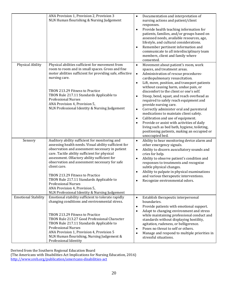|                            | ANA Provision 1, Provision 2, Provision 3<br>NLN Human flourishing & Nursing Judgement                                                                                                                                                                                                                                                                                                                                                                                                                                      | Documentation and interpretation of<br>nursing actions and patient/client<br>responses.<br>Provide health teaching information for<br>$\bullet$<br>patients, families, and/or groups based on<br>assessed needs, available resources, age,<br>lifestyle, and cultural considerations.<br>Remember pertinent information and<br>$\bullet$<br>communicate to all interdisciplinary team<br>members, client and family where<br>consented.                                                                                                                                                                                                                                                                                                                                   |
|----------------------------|-----------------------------------------------------------------------------------------------------------------------------------------------------------------------------------------------------------------------------------------------------------------------------------------------------------------------------------------------------------------------------------------------------------------------------------------------------------------------------------------------------------------------------|---------------------------------------------------------------------------------------------------------------------------------------------------------------------------------------------------------------------------------------------------------------------------------------------------------------------------------------------------------------------------------------------------------------------------------------------------------------------------------------------------------------------------------------------------------------------------------------------------------------------------------------------------------------------------------------------------------------------------------------------------------------------------|
| Physical Ability           | Physical abilities sufficient for movement from<br>room to room and in small spaces. Gross and fine<br>motor abilities sufficient for providing safe, effective<br>nursing care.<br>TBON 213.29 Fitness to Practice<br>TBON Rule 217.11 Standards Applicable to<br><b>Professional Nurses</b><br>ANA Provision 4, Provision 5,<br>NLN Professional Identity & Nursing Judgement                                                                                                                                             | Movement about patient's room, work<br>$\bullet$<br>spaces, and treatment areas.<br>Administration of rescue procedures-<br>$\bullet$<br>cardiopulmonary resuscitation.<br>Lift, move, position, and transport patients<br>$\bullet$<br>without causing harm, undue pain, or<br>discomfort to the client or one's self.<br>Stoop, bend, squat, and reach overhead as<br>$\bullet$<br>required to safely reach equipment and<br>provide nursing care.<br>Correctly administer oral and parenteral<br>$\bullet$<br>medications to maintain client safety.<br>Calibration and use of equipment.<br>$\bullet$<br>Provide or assist with activities of daily<br>living such as bed bath, hygiene, toileting,<br>positioning patients, making an occupied or<br>unoccupied bed. |
| Sensory                    | Auditory ability sufficient for monitoring and<br>assessing health needs. Visual ability sufficient for<br>observation and assessment necessary in patient<br>care. Tactile ability sufficient for physical<br>assessment. Olfactory ability sufficient for<br>observation and assessment necessary for safe<br>client care.<br>TBON 213.29 Fitness to Practice<br>TBON Rule 217.11 Standards Applicable to<br><b>Professional Nurses</b><br>ANA Provision 4, Provision 5,<br>NLN Professional Identity & Nursing Judgement | Ability to hear monitoring device alarm and<br>$\bullet$<br>other emergency signals.<br>Ability to discern auscultatory sounds and<br>$\bullet$<br>cries for help.<br>Ability to observe patient's condition and<br>$\bullet$<br>responses to treatments and recognize<br>subtle physical changes.<br>Ability to palpate in physical examinations<br>and various therapeutic interventions.<br>Recognize environmental odors.<br>$\bullet$                                                                                                                                                                                                                                                                                                                                |
| <b>Emotional Stability</b> | Emotional stability sufficient to tolerate rapidly<br>changing conditions and environmental stress.<br>TBON 213.29 Fitness to Practice<br>TBON Rule 213.27 Good Professional Character<br>TBON Rule 217.11 Standards Applicable to<br><b>Professional Nurses</b><br>ANA Provision 1, Provision 4, Provision 5<br>NLN Human flourishing, Nursing Judgement &<br>Professional Identity                                                                                                                                        | Establish therapeutic interpersonal<br>$\bullet$<br>boundaries.<br>Provide patients with emotional support.<br>$\bullet$<br>Adapt to changing environment and stress<br>$\bullet$<br>while maintaining professional conduct and<br>standards without displaying hostility,<br>agitation, rudeness, or belligerence.<br>Poses no threat to self or others.<br>$\bullet$<br>Manage and respond to multiple priorities in<br>$\bullet$<br>stressful situations.                                                                                                                                                                                                                                                                                                              |

Derived from the Southern Regional Education Board

(The Americans with Disabilities Act Implications for Nursing Education, 2016)

http://www.sreb.org/publication/americans‐disabilities‐act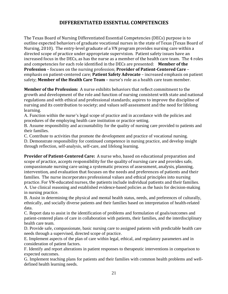# **DIFFERENTIATED ESSENTIAL COMPETENCIES**

The Texas Board of Nursing Differentiated Essential Competencies (DECs) purpose is to outline expected behaviors of graduate vocational nurses in the state of Texas (Texas Board of Nursing, 2010). The entry-level graduate of a VN program provides nursing care within a directed scope of practice under appropriate supervision. Patient safety issues have an increased focus in the DECs, as has the nurse as a member of the health care team. The 4 roles and competencies for each role identified in the DECs are presented: **Member of the Profession** – focuses on the nursing profession; **Provider of Patient-Centered Care** – emphasis on patient-centered care; **Patient Safety Advocate** – increased emphasis on patient safety; **Member of the Health Care Team** – nurse's role as a health care team member.

**Member of the Profession:** A nurse exhibits behaviors that reflect commitment to the growth and development of the role and function of nursing consistent with state and national regulations and with ethical and professional standards; aspires to improve the discipline of nursing and its contribution to society; and values self-assessment and the need for lifelong learning.

A. Function within the nurse's legal scope of practice and in accordance with the policies and procedures of the employing health care institution or practice setting.

B. Assume responsibility and accountability for the quality of nursing care provided to patients and their families.

C. Contribute to activities that promote the development and practice of vocational nursing.

D. Demonstrate responsibility for continued competence in nursing practice, and develop insight through reflection, self-analysis, self-care, and lifelong learning.

**Provider of Patient‐Centered Care:** A nurse who, based on educational preparation and scope of practice, accepts responsibility for the quality of nursing care and provides safe, compassionate nursing care using a systematic process of assessment, analysis, planning, intervention, and evaluation that focuses on the needs and preferences of patients and their families. The nurse incorporates professional values and ethical principles into nursing practice. For VN-educated nurses, the patients include individual patients and their families. A. Use clinical reasoning and established evidence-based policies as the basis for decision-making in nursing practice.

B. Assist in determining the physical and mental health status, needs, and preferences of culturally, ethnically, and socially diverse patients and their families based on interpretation of health-related data.

C. Report data to assist in the identification of problems and formulation of goals/outcomes and patient-centered plans of care in collaboration with patients, their families, and the interdisciplinary health care team.

D. Provide safe, compassionate, basic nursing care to assigned patients with predictable health care needs through a supervised, directed scope of practice.

E. Implement aspects of the plan of care within legal, ethical, and regulatory parameters and in consideration of patient factors.

F. Identify and report alterations in patient responses to therapeutic interventions in comparison to expected outcomes.

G. Implement teaching plans for patients and their families with common health problems and welldefined health learning needs.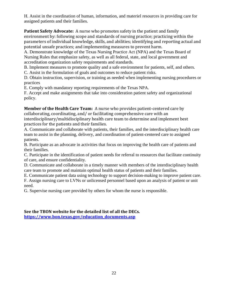H. Assist in the coordination of human, information, and materiel resources in providing care for assigned patients and their families.

**Patient Safety Advocate:** A nurse who promotes safety in the patient and family environment by: following scope and standards of nursing practice; practicing within the parameters of individual knowledge, skills, and abilities; identifying and reporting actual and potential unsafe practices; and implementing measures to prevent harm.

A. Demonstrate knowledge of the Texas Nursing Practice Act (NPA) and the Texas Board of Nursing Rules that emphasize safety, as well as all federal, state, and local government and accreditation organization safety requirements and standards.

B. Implement measures to promote quality and a safe environment for patients, self, and others. C. Assist in the formulation of goals and outcomes to reduce patient risks.

D. Obtain instruction, supervision, or training as needed when implementing nursing procedures or practices

E. Comply with mandatory reporting requirements of the Texas NPA.

F. Accept and make assignments that take into consideration patient safety and organizational policy.

**Member of the Health Care Team:** A nurse who provides patient-centered care by collaborating, coordinating, and/ or facilitating comprehensive care with an interdisciplinary/multidisciplinary health care team to determine and implement best practices for the patients and their families.

A. Communicate and collaborate with patients, their families, and the interdisciplinary health care team to assist in the planning, delivery, and coordination of patient-centered care to assigned patients.

B. Participate as an advocate in activities that focus on improving the health care of patients and their families.

C. Participate in the identification of patient needs for referral to resources that facilitate continuity of care, and ensure confidentiality.

D. Communicate and collaborate in a timely manner with members of the interdisciplinary health care team to promote and maintain optimal health status of patients and their families.

E. Communicate patient data using technology to support decision-making to improve patient care.

F. Assign nursing care to LVNs or unlicensed personnel based upon an analysis of patient or unit need.

G. Supervise nursing care provided by others for whom the nurse is responsible.

**See the TBON website for the detailed list of all the DECs. https://www.bon.texas.gov/education\_documents.asp**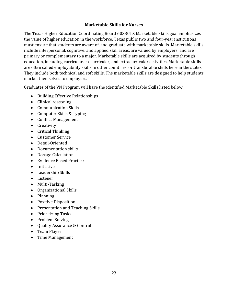#### **Marketable Skills for Nurses**

The Texas Higher Education Coordinating Board 60X30TX Marketable Skills goal emphasizes the value of higher education in the workforce. Texas public two and four-year institutions must ensure that students are aware of, and graduate with marketable skills. Marketable skills include interpersonal, cognitive, and applied skill areas, are valued by employers, and are primary or complementary to a major. Marketable skills are acquired by students through education, including curricular, co-curricular, and extracurricular activities. Marketable skills are often called employability skills in other countries, or transferable skills here in the states. They include both technical and soft skills. The marketable skills are designed to help students market themselves to employers.

Graduates of the VN Program will have the identified Marketable Skills listed below.

- Building Effective Relationships
- Clinical reasoning
- Communication Skills
- Computer Skills & Typing
- Conflict Management
- Creativity
- Critical Thinking
- Customer Service
- Detail-Oriented
- Documentation skills
- Dosage Calculation
- Evidence Based Practice
- Initiative
- Leadership Skills
- Listener
- Multi-Tasking
- Organizational Skills
- Planning
- Positive Disposition
- Presentation and Teaching Skills
- Prioritizing Tasks
- Problem Solving
- Ouality Assurance & Control
- Team Player
- Time Management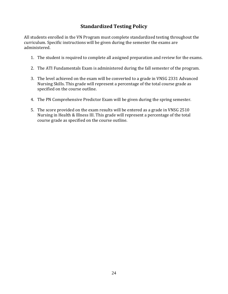# **Standardized Testing Policy**

All students enrolled in the VN Program must complete standardized testing throughout the curriculum. Specific instructions will be given during the semester the exams are administered. 

- 1. The student is required to complete all assigned preparation and review for the exams.
- 2. The ATI Fundamentals Exam is administered during the fall semester of the program.
- 3. The level achieved on the exam will be converted to a grade in VNSG 2331 Advanced Nursing Skills. This grade will represent a percentage of the total course grade as specified on the course outline.
- 4. The PN Comprehensive Predictor Exam will be given during the spring semester.
- 5. The score provided on the exam results will be entered as a grade in VNSG 2510 Nursing in Health & Illness III. This grade will represent a percentage of the total course grade as specified on the course outline.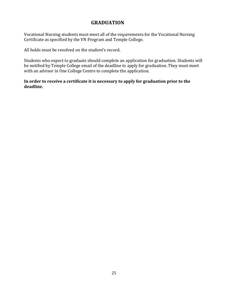## **GRADUATION**

Vocational Nursing students must meet all of the requirements for the Vocational Nursing Certificate as specified by the VN Program and Temple College.

All holds must be resolved on the student's record.

Students who expect to graduate should complete an application for graduation. Students will be notified by Temple College email of the deadline to apply for graduation. They must meet with an advisor in One College Centre to complete the application.

**In order to receive a certificate it is necessary to apply for graduation prior to the deadline.**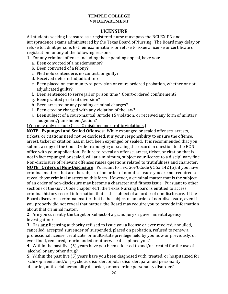### **LICENSURE**

All students seeking licensure as a registered nurse must pass the NCLEX-PN and jurisprudence exams administered by the Texas Board of Nursing. The Board may delay or refuse to admit persons to their examinations or refuse to issue a license or certificate of registration for any of the following reasons:

**1.** For any criminal offense, including those pending appeal, have you:

- a. Been convicted of a misdemeanor?
- b. Been convicted of a felony?
- c. Pled nolo contendere, no contest, or guilty?
- d. Received deferred adjudication?
- e. Been placed on community supervision or court-ordered probation, whether or not adjudicated guilty?
- f. Been sentenced to serve jail or prison time? Court-ordered confinement?
- g. Been granted pre-trial diversion?
- h. Been arrested or any pending criminal charges?
- i. Been cited or charged with any violation of the law?
- j. Been subject of a court-martial; Article 15 violation; or received any form of military judgment/punishment/action?

(You may only exclude Class C misdemeanor traffic violations.)

**NOTE: Expunged and Sealed Offenses:** While expunged or sealed offenses, arrests, tickets, or citations need not be disclosed, it is your responsibility to ensure the offense, arrest, ticket or citation has, in fact, been expunged or sealed. It is recommended that you submit a copy of the Court Order expunging or sealing the record in question to the BON office with your application. Failure to reveal an offense, arrest, ticket, or citation that is not in fact expunged or sealed, will at a minimum, subject your license to a disciplinary fine. Non-disclosure of relevant offenses raises questions related to truthfulness and character. **NOTE: Orders of Non-Disclosure**: Pursuant to Tex. Gov't Code § 552.142 (b), if you have criminal matters that are the subject of an order of non-disclosure you are not required to reveal those criminal matters on this form. However, a criminal matter that is the subject

of an order of non-disclosure may become a character and fitness issue. Pursuant to other sections of the Gov't Code chapter 411, the Texas Nursing Board is entitled to access criminal history record information that is the subject of an order of nondisclosure. If the Board discovers a criminal matter that is the subject of an order of non-disclosure, even if you properly did not reveal that matter, the Board may require you to provide information about that criminal matter.

**2.** Are you currently the target or subject of a grand jury or governmental agency investigation? 

**3.** Has any licensing authority refused to issue you a license or ever revoked, annulled, cancelled, accepted surrender of, suspended, placed on probation, refused to renew a professional license, certificate, or multi-state privilege held by you now or previously, or ever fined, censured, reprimanded or otherwise disciplined you?

**4.** Within the past five (5) years have you been addicted to and/or treated for the use of alcohol or any other drug?

**5.** Within the past five (5) years have you been diagnosed with, treated, or hospitalized for schizophrenia and/or psychotic disorder, bipolar disorder, paranoid personality disorder, antisocial personality disorder, or borderline personality disorder?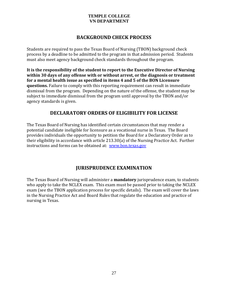### **BACKGROUND CHECK PROCESS**

Students are required to pass the Texas Board of Nursing (TBON) background check process by a deadline to be admitted to the program in that admission period. Students must also meet agency background check standards throughout the program.

**It is the responsibility of the student to report to the Executive Director of Nursing within 30 days of any offense with or without arrest, or the diagnosis or treatment for a mental health issue as specified in items 4 and 5 of the BON Licensure questions.** Failure to comply with this reporting requirement can result in immediate dismissal from the program. Depending on the nature of the offense, the student may be subject to immediate dismissal from the program until approval by the TBON and/or agency standards is given.

# **DECLARATORY ORDERS OF ELIGIBILITY FOR LICENSE**

The Texas Board of Nursing has identified certain circumstances that may render a potential candidate ineligible for licensure as a vocational nurse in Texas. The Board provides individuals the opportunity to petition the Board for a Declaratory Order as to their eligibility in accordance with article  $213.30(a)$  of the Nursing Practice Act. Further instructions and forms can be obtained at: www.bon.texas.gov

# **JURISPRUDENCE EXAMINATION**

The Texas Board of Nursing will administer a **mandatory** jurisprudence exam, to students who apply to take the NCLEX exam. This exam must be passed prior to taking the NCLEX exam (see the TBON application process for specific details). The exam will cover the laws in the Nursing Practice Act and Board Rules that regulate the education and practice of nursing in Texas.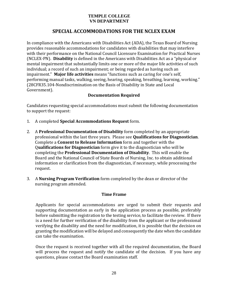# **SPECIAL ACCOMMODATIONS FOR THE NCLEX EXAM**

In compliance with the Americans with Disabilities Act (ADA), the Texas Board of Nursing provides reasonable accommodations for candidates with disabilities that may interfere with their performance on the National Council Licensure Examination for Practical Nurses (NCLEX-PN). Disability is defined in the Americans with Disabilities Act as a "physical or mental impairment that substantially limits one or more of the major life activities of such individual; a record of such an impairment; or being regarded as having such an impairment." Major life activities means "functions such as caring for one's self, performing manual tasks, walking, seeing, hearing, speaking, breathing, learning, working." (28CFR35.104-Nondiscrimination on the Basis of Disability in State and Local Government). 

#### **Documentation Required**

Candidates requesting special accommodations must submit the following documentation to support the request:

- 1. A completed **Special Accommodations Request** form.
- 2. A **Professional Documentation of Disability** form completed by an appropriate professional within the last three years. Please see **Qualifications for Diagnostician**. Complete a **Consent to Release Information** form and together with the Q**ualifications for Diagnostician** form give it to the diagnostician who will be **completing the Professional Documentation of Disability.** This will enable the Board and the National Council of State Boards of Nursing, Inc. to obtain additional information or clarification from the diagnostician, if necessary, while processing the request.
- 3. A **Nursing Program Verification** form completed by the dean or director of the nursing program attended.

#### **Time Frame**

Applicants for special accommodations are urged to submit their requests and supporting documentation as early in the application process as possible, preferably before submitting the registration to the testing service, to facilitate the review. If there is a need for further verification of the disability from the applicant or the professional verifying the disability and the need for modification, it is possible that the decision on granting the modification will be delayed and consequently the date when the candidate can take the examination.

Once the request is received together with all the required documentation, the Board will process the request and notify the candidate of the decision. If you have any questions, please contact the Board examination staff.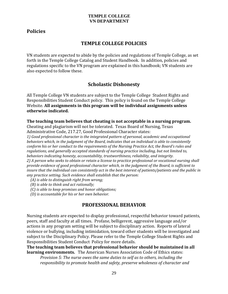# **Policies**

### **TEMPLE COLLEGE POLICIES**

VN students are expected to abide by the policies and regulations of Temple College, as set forth in the Temple College Catalog and Student Handbook. In addition, policies and regulations specific to the VN program are explained in this handbook; VN students are also expected to follow these.

# **Scholastic Dishonesty**

All Temple College VN students are subject to the Temple College Student Rights and Responsibilities Student Conduct policy. This policy is found on the Temple College Website. **All assignments in this program will be individual assignments unless otherwise indicated.**

**The teaching team believes that cheating is not acceptable in a nursing program.** 

Cheating and plagiarism will not be tolerated. Texas Board of Nursing, Texas Administrative Code, 217.27, Good Professional Character states:

*1) Good professional character is the integrated pattern of personal, academic and occupational behaviors which, in the judgment of the Board, indicates that an individual is able to consistently conform his or her conduct to the requirements of the Nursing Practice Act, the Board's rules and regulations, and generally accepted standards of nursing practice including, but not limited to, behaviors indicating honesty, accountability, trustworthiness, reliability, and integrity.*  2) A person who seeks to obtain or retain a license to practice professional or vocational nursing shall *provide evidence of good professional character which, in the judgment of the Board, is sufficient to* insure that the individual can consistently act in the best interest of patients/patients and the public in *any practice setting. Such evidence shall establish that the person:*

- *(A) is able to distinguish right from wrong;*
- *(B) is able to think and act rationally;*
- *(C) is able to keep promises and honor obligations;*
- *(D) is accountable for his or her own behavior.*

### **PROFESSIONAL BEHAVIOR**

Nursing students are expected to display professional, respectful behavior toward patients, peers, staff and faculty at all times. Profane, belligerent, aggressive language and/or actions in any program setting will be subject to disciplinary action. Reports of lateral violence or bullying, including intimidation, toward other students will be investigated and subject to the Disciplinary Policy. Please refer to the Temple College Student Rights and Responsibilities Student Conduct Policy for more details.

**The teaching team believes that professional behavior should be maintained in all learning environments.** The American Nurses Association Code of Ethics states:

*Provision 5: The nurse owes the same duties to self as to others, including the responsibility to promote health and safety, preserve wholeness of character and*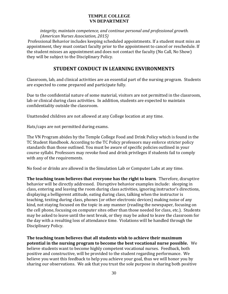*integrity, maintain competence, and continue personal and professional growth. (American Nurses Association, 2015)* 

Professional Behavior includes keeping scheduled appointments. If a student must miss an appointment, they must contact faculty prior to the appointment to cancel or reschedule. If the student misses an appointment and does not contact the faculty (No Call, No Show) they will be subject to the Disciplinary Policy.

# **STUDENT CONDUCT IN LEARNING ENVIRONMENTS**

Classroom, lab, and clinical activities are an essential part of the nursing program. Students are expected to come prepared and participate fully.

Due to the confidential nature of some material, visitors are not permitted in the classroom, lab or clinical during class activities. In addition, students are expected to maintain confidentiality outside the classroom.

Unattended children are not allowed at any College location at any time.

Hats/caps are not permitted during exams.

The VN Program abides by the Temple College Food and Drink Policy which is found in the TC Student Handbook. According to the TC Policy professors may enforce stricter policy standards than those outlined. You must be aware of specific policies outlined in your course syllabi. Professors may revoke food and drink privileges if students fail to comply with any of the requirements.

No food or drinks are allowed in the Simulation Lab or Computer Labs at any time.

**The teaching team believes that everyone has the right to learn**. Therefore, disruptive behavior will be directly addressed. Disruptive behavior examples include: sleeping in class, entering and leaving the room during class activities, ignoring instructor's directions, displaying a belligerent attitude, eating during class, talking when the instructor is teaching, texting during class, phones (or other electronic devices) making noise of any kind, not staying focused on the topic in any manner (reading the newspaper, focusing on the cell phone, focusing on computer sites other than those needed for class, etc.). Students may be asked to leave until the next break, or they may be asked to leave the classroom for the day with a resulting loss of attendance time. Violations will be handled through the Disciplinary Policy.

**The teaching team believes that all students wish to achieve their maximum potential in the nursing program to become the best vocational nurse possible.** We believe students want to become highly competent vocational nurses. Feedback, both positive and constructive, will be provided to the student regarding performance. We believe you want this feedback to help you achieve your goal, thus we will honor you by sharing our observations. We ask that you trust the sole purpose in sharing both positive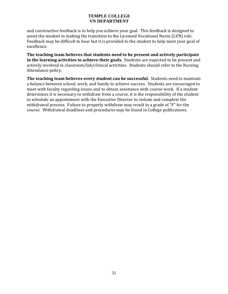and constructive feedback is to help you achieve your goal. This feedback is designed to assist the student in making the transition to the Licensed Vocational Nurse (LVN) role. Feedback may be difficult to hear but it is provided to the student to help meet your goal of excellence. 

**The teaching team believes that students need to be present and actively participate in** the learning activities to achieve their goals. Students are expected to be present and actively involved in classroom/lab/clinical activities. Students should refer to the Nursing Attendance policy.

**The teaching team believes every student can be successful***.*Students need to maintain a balance between school, work, and family to achieve success. Students are encouraged to meet with faculty regarding issues and to obtain assistance with course work. If a student determines it is necessary to withdraw from a course, it is the responsibility of the student to schedule an appointment with the Executive Director to initiate and complete the withdrawal process. Failure to properly withdraw may result in a grade of " $F$ " for the course. Withdrawal deadlines and procedures may be found in College publications.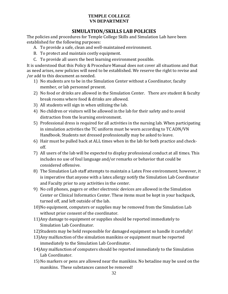# **SIMULATION/SKILLS LAB POLICIES**

The policies and procedures for Temple College Skills and Simulation Lab have been established for the following purposes:

- A. To provide a safe, clean and well-maintained environment.
- B. To protect and maintain costly equipment.
- C. To provide all users the best learning environment possible.

It is understood that this Policy & Procedure Manual does not cover all situations and that as need arises, new policies will need to be established. We reserve the right to revise and /or add to this document as needed.

- 1) No students are to be in the Simulation Center without a Coordinator, faculty member, or lab personnel present.
- 2) No food or drinks are allowed in the Simulation Center. There are student & faculty break rooms where food & drinks are allowed.
- 3) All students will sign in when utilizing the lab.
- 4) No children or visitors will be allowed in the lab for their safety and to avoid distraction from the learning environment.
- 5) Professional dress is required for all activities in the nursing lab. When participating in simulation activities the TC uniform must be worn according to TC ADN/VN Handbook. Students not dressed professionally may be asked to leave.
- 6) Hair must be pulled back at ALL times when in the lab for both practice and checkoff.
- 7) All users of the lab will be expected to display professional conduct at all times. This includes no use of foul language and/or remarks or behavior that could be considered offensive.
- 8) The Simulation Lab staff attempts to maintain a Latex Free environment; however, it is imperative that anyone with a latex allergy notify the Simulation Lab Coordinator and Faculty prior to any activities in the center.
- 9) No cell phones, pagers or other electronic devices are allowed in the Simulation Center or Clinical Informatics Center. These items must be kept in your backpack, turned off, and left outside of the lab.
- 10)No equipment, computers or supplies may be removed from the Simulation Lab without prior consent of the coordinator.
- 11) Any damage to equipment or supplies should be reported immediately to Simulation Lab Coordinator.
- 12) Students may be held responsible for damaged equipment so handle it carefully!
- 13) Any malfunction of the simulation manikins or equipment must be reported immediately to the Simulation Lab Coordinator.
- 14) Any malfunction of computers should be reported immediately to the Simulation Lab Coordinator.
- 15) No markers or pens are allowed near the manikins. No betadine may be used on the manikins. These substances cannot be removed!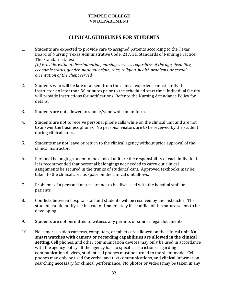### **CLINICAL GUIDELINES FOR STUDENTS**

- 1. Students are expected to provide care to assigned patients according to the Texas Board of Nursing, Texas Administrative Code, 217. 11, Standards of Nursing Practice. The Standard states: *(L) Provide, without discrimination, nursing services regardless of the age, disability, economic status, gender, national origin, race, religion, health problems, or sexual orientation of the client served.*
- 2. Students who will be late or absent from the clinical experience must notify the instructor no later than 30 minutes prior to the scheduled start time. Individual faculty will provide instructions for notifications. Refer to the Nursing Attendance Policy for details.
- 3. Students are not allowed to smoke/vape while in uniform.
- 4. Students are not to receive personal phone calls while on the clinical unit and are not to answer the business phones. No personal visitors are to be received by the student during clinical hours.
- 5. Students may not leave or return to the clinical agency without prior approval of the clinical instructor.
- 6. Personal belongings taken to the clinical unit are the responsibility of each individual. It is recommended that personal belongings not needed to carry out clinical assignments be secured in the trunks of students' cars. Approved textbooks may be taken to the clinical area as space on the clinical unit allows.
- 7. Problems of a personal nature are not to be discussed with the hospital staff or patients.
- 8. Conflicts between hospital staff and students will be resolved by the instructor. The student should notify the instructor immediately if a conflict of this nature seems to be developing.
- 9. Students are not permitted to witness any permits or similar legal documents.
- 10. No cameras, video cameras, computers, or tablets are allowed on the clinical unit. **No smart watches with camera or recording capabilities are allowed in the clinical setting**. Cell phones, and other communication devices may only be used in accordance with the agency policy. If the agency has no specific restrictions regarding communication devices, student cell phones must be turned to the silent mode. Cell phones may only be used for verbal and text communications, and clinical information searching necessary for clinical performance. No photos or videos may be taken in any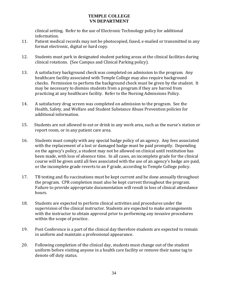clinical setting. Refer to the use of Electronic Technology policy for additional information. 

- 11. Patient medical records may not be photocopied, faxed, e-mailed or transmitted in any format electronic, digital or hard copy.
- 12. Students must park in designated student parking areas at the clinical facilities during clinical rotations. (See Campus and Clinical Parking policy).
- 13. A satisfactory background check was completed on admission to the program. Any healthcare facility associated with Temple College may also require background checks. Permission to perform the background check must be given by the student. It may be necessary to dismiss students from a program if they are barred from practicing at any healthcare facility. Refer to the Nursing Admissions Policy.
- 14. A satisfactory drug screen was completed on admission to the program. See the Health, Safety, and Welfare and Student Substance Abuse Prevention policies for additional information.
- 15. Students are not allowed to eat or drink in any work area, such as the nurse's station or report room, or in any patient care area.
- 16. Students must comply with any special badge policy of an agency. Any fees associated with the replacement of a lost or damaged badge must be paid promptly. Depending on the agency's policy, a student may not be allowed on clinical until restitution has been made, with loss of absence time. In all cases, an incomplete grade for the clinical course will be given until all fees associated with the use of an agency's badge are paid, or the incomplete grade reverts to an F grade, according to Temple College policy.
- 17. TB testing and flu vaccinations must be kept current and be done annually throughout the program. CPR completion must also be kept current throughout the program. Failure to provide appropriate documentation will result in loss of clinical attendance hours.
- 18. Students are expected to perform clinical activities and procedures under the supervision of the clinical instructor. Students are expected to make arrangements with the instructor to obtain approval prior to performing any invasive procedures within the scope of practice.
- 19. Post Conference is a part of the clinical day therefore students are expected to remain in uniform and maintain a professional appearance.
- 20. Following completion of the clinical day, students must change out of the student uniform before visiting anyone in a health care facility or remove their name tag to denote off duty status.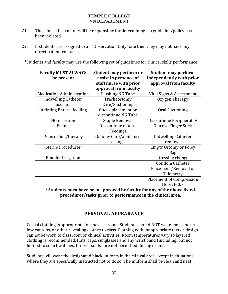- 21. The clinical instructor will be responsible for determining if a guideline/policy has been violated.
- 22. If students are assigned to an "Observation Only" site then they may not have any direct patient contact.

\*Students and faculty may use the following set of guidelines for clinical skills performance.

| <b>Faculty MUST ALWAYS</b>        | Student may perform or  | <b>Student may perform</b>      |
|-----------------------------------|-------------------------|---------------------------------|
| be present                        | assist in presence of   | independently with prior        |
|                                   | staff nurse with prior  | approval from faculty           |
|                                   | approval from faculty   |                                 |
| <b>Medication Administration</b>  | <b>Flushing NG Tube</b> | Vital Signs & Assessment        |
| <b>Indwelling Catheter</b>        | Tracheostomy            | Oxygen Therapy                  |
| insertion                         | Care/Suctioning         |                                 |
| <b>Initiating Enteral feeding</b> | Check placement or      | Oral Suctioning                 |
|                                   | discontinue NG Tube     |                                 |
| NG insertion                      | Staple Removal          | Discontinue Peripheral IV       |
| Enema                             | Discontinue enteral     | <b>Glucose Finger Stick</b>     |
|                                   | Feedings                |                                 |
| IV insertion/therapy              | Ostomy Care/appliance   | <b>Indwelling Catheter</b>      |
|                                   | change                  | removal                         |
| <b>Sterile Procedures</b>         |                         | <b>Empty Ostomy or Foley</b>    |
|                                   |                         | Bag                             |
| <b>Bladder Irrigation</b>         |                         | Dressing change                 |
|                                   |                         | <b>Condom Catheter</b>          |
|                                   |                         | Placement/Removal of            |
|                                   |                         | Telemetry                       |
|                                   |                         | <b>Placement of Compression</b> |
|                                   |                         | Hose/PCDs                       |

**\*Students must have been approved by faculty for any of the above listed procedures/tasks prior to performance in the clinical area.**

# **PERSONAL APPEARANCE**

Casual clothing is appropriate for the classroom. Students should NOT wear short shorts, low cut tops, or other revealing clothes to class. Clothing with inappropriate text or design cannot be worn to classroom or clinical activities. Room temperatures vary so layered clothing is recommended. Hats, caps, sunglasses and any wrist band (including, but not limited to smart watches, fitness bands) are not permitted during exams.

Students will wear the designated black uniform in the clinical area, except in situations where they are specifically instructed not to do so. The uniform shall be clean and neat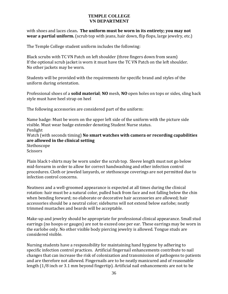with shoes and laces clean**. The uniform must be worn in its entirety; you may not wear a partial uniform.** (scrub top with jeans, hair down, flip flops, large jewelry, etc.)

The Temple College student uniform includes the following:

Black scrubs with TC VN Patch on left shoulder (three fingers down from seam) If the optional scrub jacket is worn it must have the TC VN Patch on the left shoulder. No other jackets may be worn.

Students will be provided with the requirements for specific brand and styles of the uniform during orientation.

Professional shoes of a **solid material**; **NO** mesh, **NO** open holes on tops or sides, sling back style must have heel strap on heel

The following accessories are considered part of the uniform:

Name badge: Must be worn on the upper left side of the uniform with the picture side visible. Must wear badge extender denoting Student Nurse status. Penlight Watch (with seconds timing) **No smart watches with camera or recording capabilities are allowed in the clinical setting** Stethoscope **Scissors** 

Plain black t-shirts may be worn under the scrub top. Sleeve length must not go below mid-forearm in order to allow for correct handwashing and other infection control procedures. Cloth or jeweled lanyards, or stethoscope coverings are not permitted due to infection control concerns.

Neatness and a well-groomed appearance is expected at all times during the clinical rotation: hair must be a natural color, pulled back from face and not falling below the chin when bending forward; no elaborate or decorative hair accessories are allowed; hair accessories should be a neutral color; sideburns will not extend below earlobe; neatly trimmed mustaches and beards will be acceptable.

Make-up and jewelry should be appropriate for professional clinical appearance. Small stud earrings (no hoops or gauges) are not to exceed one per ear. These earrings may be worn in the earlobe only. No other visible body piercing jewelry is allowed. Tongue studs are considered visible.

Nursing students have a responsibility for maintaining hand hygiene by adhering to specific infection control practices. Artificial fingernail enhancements contribute to nail changes that can increase the risk of colonization and transmission of pathogens to patients and are therefore not allowed. Fingernails are to be neatly manicured and of reasonable length  $(1/8$  inch or 3.1 mm beyond fingertip). Artificial nail enhancements are not to be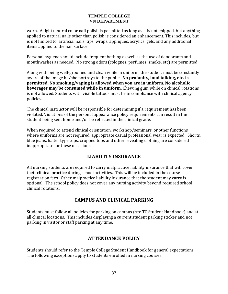worn. A light neutral color nail polish is permitted as long as it is not chipped, but anything applied to natural nails other than polish is considered an enhancement. This includes, but is not limited to, artificial nails, tips, wraps, appliqués, acrylics, gels, and any additional items applied to the nail surface.

Personal hygiene should include frequent bathing as well as the use of deodorants and mouthwashes as needed. No strong odors (colognes, perfumes, smoke, etc) are permitted.

Along with being well-groomed and clean while in uniform, the student must be constantly aware of the image he/she portrays to the public. **No profanity, loud talking, etc.** is **permitted. No smoking/vaping is allowed when you are in uniform. No alcoholic beverages** may be consumed while in uniform. Chewing gum while on clinical rotations is not allowed. Students with visible tattoos must be in compliance with clinical agency policies. 

The clinical instructor will be responsible for determining if a requirement has been violated. Violations of the personal appearance policy requirements can result in the student being sent home and/or be reflected in the clinical grade.

When required to attend clinical orientation, workshop/seminars, or other functions where uniforms are not required, appropriate casual professional wear is expected. Shorts, blue jeans, halter type tops, cropped tops and other revealing clothing are considered inappropriate for these occasions.

# **LIABILITY INSURANCE**

All nursing students are required to carry malpractice liability insurance that will cover their clinical practice during school activities. This will be included in the course registration fees. Other malpractice liability insurance that the student may carry is optional. The school policy does not cover any nursing activity beyond required school clinical rotations.

# **CAMPUS AND CLINICAL PARKING**

Students must follow all policies for parking on campus (see TC Student Handbook) and at all clinical locations. This includes displaying a current student parking sticker and not parking in visitor or staff parking at any time.

# **ATTENDANCE POLICY**

Students should refer to the Temple College Student Handbook for general expectations. The following exceptions apply to students enrolled in nursing courses: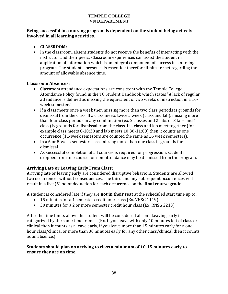#### **Being successful in a nursing program is dependent on the student being actively involved in all learning activities.**

#### **CLASSROOM:**

• In the classroom, absent students do not receive the benefits of interacting with the instructor and their peers. Classroom experiences can assist the student in application of information which is an integral component of success in a nursing program. The student's presence is essential; therefore limits are set regarding the amount of allowable absence time.

#### **Classroom Absences:**

- Classroom attendance expectations are consistent with the Temple College Attendance Policy found in the TC Student Handbook which states "A lack of regular attendance is defined as missing the equivalent of two weeks of instruction in a 16week semester."
- If a class meets once a week then missing more than two class periods is grounds for dismissal from the class. If a class meets twice a week (class and lab), missing more than four class periods in any combination (ex. 2 classes and 2 labs or 3 labs and  $1$ class) is grounds for dismissal from the class. If a class and lab meet together (for example class meets  $8-10:30$  and lab meets  $10:30-11:00$  then it counts as one occurrence (11-week semesters are counted the same as 16 week semesters).
- In a 6 or 8-week semester class, missing more than one class is grounds for dismissal.
- As successful completion of all courses is required for progression, students dropped from one course for non-attendance may be dismissed from the program.

#### **Arriving Late or Leaving Early From Class:**

Arriving late or leaving early are considered disruptive behaviors. Students are allowed two occurrences without consequences. The third and any subsequent occurrences will result in a five (5) point deduction for each occurrence on the **final course grade**.

A student is considered late if they are **not in their seat** at the scheduled start time up to:

- 15 minutes for a 1 semester credit hour class (Ex. VNSG 1119)
- 30 minutes for a 2 or more semester credit hour class (Ex. RNSG 2213)

After the time limits above the student will be considered absent. Leaving early is categorized by the same time frames. (Ex. If you leave with only 10 minutes left of class or clinical then it counts as a leave early, if you leave more than 15 minutes early for a one hour class/clinical or more than 30 minutes early for any other class/clinical then it counts as an absence.)

#### **Students should plan on arriving to class a minimum of 10‐15 minutes early to ensure they are on time.**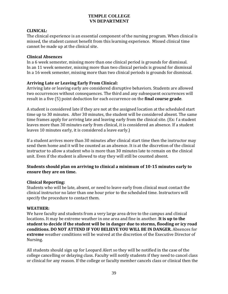#### **CLINICAL:**

The clinical experience is an essential component of the nursing program. When clinical is missed, the student cannot benefit from this learning experience. Missed clinical time cannot be made up at the clinical site.

#### **Clinical Absences**

In a 6 week semester, missing more than one clinical period is grounds for dismissal. In an 11 week semester, missing more than two clinical periods is ground for dismissal In a 16 week semester, missing more than two clinical periods is grounds for dismissal.

#### **Arriving Late or Leaving Early From Clinical:**

Arriving late or leaving early are considered disruptive behaviors. Students are allowed two occurrences without consequences. The third and any subsequent occurrences will result in a five (5) point deduction for each occurrence on the **final course grade**.

A student is considered late if they are not at the assigned location at the scheduled start time up to 30 minutes. After 30 minutes, the student will be considered absent. The same time frames apply for arriving late and leaving early from the clinical site. (Ex: f a student leaves more than 30 minutes early from clinical, it is considered an absence. If a student leaves 10 minutes early, it is considered a leave early.)

If a student arrives more than 30 minutes after clinical start time then the instructor may send them home and it will be counted as an absence. It is at the discretion of the clinical instructor to allow a student who is more than 30 minutes late to remain on the clinical unit. Even if the student is allowed to stay they will still be counted absent.

#### **Students should plan on arriving to clinical a minimum of 10‐15 minutes early to ensure they are on time.**

#### **Clinical Reporting:**

Students who will be late, absent, or need to leave early from clinical must contact the clinical instructor no later than one hour prior to the scheduled time. Instructors will specify the procedure to contact them.

#### **WEATHER:**

We have faculty and students from a very large area drive to the campus and clinical locations. It may be extreme weather in one area and fine in another. **It is up to the student to decide if the student will be in danger due to storms, flooding or icy road conditions. DO NOT ATTEND IF YOU BELIEVE YOU WILL BE IN DANGER.** Absences for **extreme** weather conditions will be waived at the discretion of the Executive Director of Nursing. 

All students should sign up for Leopard Alert so they will be notified in the case of the college cancelling or delaying class. Faculty will notify students if they need to cancel class or clinical for any reason. If the college or faculty member cancels class or clinical then the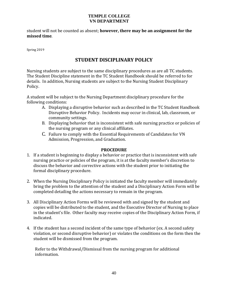student will not be counted as absent; **however, there may be an assignment for the missed time**. 

Spring 2019

# **STUDENT DISCIPLINARY POLICY**

Nursing students are subject to the same disciplinary procedures as are all TC students. The Student Discipline statement in the TC Student Handbook should be referred to for details. In addition, Nursing students are subject to the Nursing Student Disciplinary Policy. 

A student will be subject to the Nursing Department disciplinary procedure for the following conditions:

- A. Displaying a disruptive behavior such as described in the TC Student Handbook Disruptive Behavior Policy. Incidents may occur in clinical, lab, classroom, or community settings.
- B. Displaying behavior that is inconsistent with safe nursing practice or policies of the nursing program or any clinical affiliates.
- C. Failure to comply with the Essential Requirements of Candidates for VN Admission, Progression, and Graduation.

#### **PROCEDURE**

- 1. If a student is beginning to display a behavior or practice that is inconsistent with safe nursing practice or policies of the program, it is at the faculty member's discretion to discuss the behavior and corrective actions with the student prior to initiating the formal disciplinary procedure.
- 2. When the Nursing Disciplinary Policy is initiated the faculty member will immediately bring the problem to the attention of the student and a Disciplinary Action Form will be completed detailing the actions necessary to remain in the program.
- 3. All Disciplinary Action Forms will be reviewed with and signed by the student and copies will be distributed to the student, and the Executive Director of Nursing to place in the student's file. Other faculty may receive copies of the Disciplinary Action Form, if indicated.
- 4. If the student has a second incident of the same type of behavior (ex. A second safety violation, or second disruptive behavior) or violates the conditions on the form then the student will be dismissed from the program.

Refer to the Withdrawal/Dismissal from the nursing program for additional information.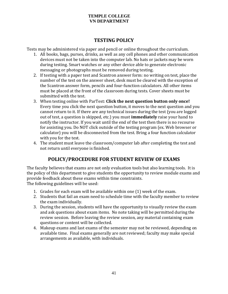# **TESTING POLICY**

Tests may be administered via paper and pencil or online throughout the curriculum.

- 1. All books, bags, purses, drinks, as well as any cell phones and other communication devices must not be taken into the computer lab. No hats or jackets may be worn during testing. Smart watches or any other device able to generate electronic messaging or photographs must be removed during testing.
- 2. If testing with a paper test and Scantron answer form: no writing on test, place the number of the test on the answer sheet, desk must be cleared with the exception of the Scantron answer form, pencils and four-function calculators. All other items must be placed at the front of the classroom during tests. Cover sheets must be submitted with the test.
- 3. When testing online with ParTest: **Click the next question button only once!** Every time you click the next question button, it moves to the next question and you cannot return to it. If there are any technical issues during the test (you are logged out of test, a question is skipped, etc.) you must **immediately** raise your hand to notify the instructor. If you wait until the end of the test then there is no recourse for assisting you. Do NOT click outside of the testing program (ex. Web browser or calculator) you will be disconnected from the test. Bring a four function calculator with you for the test.
- 4. The student must leave the classroom/computer lab after completing the test and not return until everyone is finished.

# **POLICY/PROCEDURE FOR STUDENT REVIEW OF EXAMS**

The faculty believes that exams are not only evaluation tools but also learning tools. It is the policy of this department to give students the opportunity to review module exams and provide feedback about these exams within time constraints. The following guidelines will be used:

- 1. Grades for each exam will be available within one  $(1)$  week of the exam.
- 2. Students that fail an exam need to schedule time with the faculty member to review the exam individually.
- 3. During the session, students will have the opportunity to visually review the exam and ask questions about exam items. No note taking will be permitted during the review session. Before leaving the review session, any material containing exam questions or content will be collected.
- 4. Makeup exams and last exams of the semester may not be reviewed, depending on available time. Final exams generally are not reviewed; faculty may make special arrangements as available, with individuals.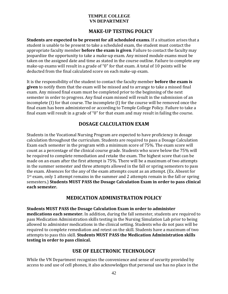# **MAKE‐UP TESTING POLICY**

**Students** are expected to be present for all scheduled exams. If a situation arises that a student is unable to be present to take a scheduled exam, the student must contact the appropriate faculty member **before the exam is given**. Failure to contact the faculty may jeopardize the opportunity to take a make-up exam. Any missed module exams must be taken on the assigned date and time as stated in the course outline. Failure to complete any make-up exams will result in a grade of "0" for that exam. A total of 10 points will be deducted from the final calculated score on each make-up exam.

It is the responsibility of the student to contact the faculty member **before the exam is given** to notify them that the exam will be missed and to arrange to take a missed final exam. Any missed final exam must be completed prior to the beginning of the next semester in order to progress. Any final exam missed will result in the submission of an incomplete  $(I)$  for that course. The incomplete  $(I)$  for the course will be removed once the final exam has been administered or according to Temple College Policy. Failure to take a final exam will result in a grade of "0" for that exam and may result in failing the course.

### **DOSAGE CALCULATION EXAM**

Students in the Vocational Nursing Program are expected to have proficiency in dosage calculation throughout the curriculum. Students are required to pass a Dosage Calculation Exam each semester in the program with a minimum score of 75%. The exam score will count as a percentage of the clinical course grade. Students who score below the 75% will be required to complete remediation and retake the exam. The highest score that can be made on an exam after the first attempt is 75%. There will be a maximum of two attempts in the summer semester and three attempts allowed in the fall or spring semesters to pass the exam. Absences for the any of the exam attempts count as an attempt. (Ex. Absent for  $1<sup>st</sup>$  exam, only 1 attempt remains in the summer and 2 attempts remain in the fall or spring semesters.) **Students MUST PASS the Dosage Calculation Exam in order to pass clinical each semester**.

### **MEDICATION ADMINISTRATION POLICY**

**Students MUST PASS the Dosage Calculation Exam in order to administer medications each semester.** In addition, during the fall semester, students are required to pass Medication Administration skills testing in the Nursing Simulation Lab prior to being allowed to administer medications in the clinical setting. Students who do not pass will be required to complete remediation and retest on the skill. Students have a maximum of two attempts to pass this skill. **Students MUST PASS the Medication Administration skills testing in order to pass clinical.**

### **USE OF ELECTRONIC TECHNOLOGY**

While the VN Department recognizes the convenience and sense of security provided by access to and use of cell phones, it also acknowledges that personal use has no place in the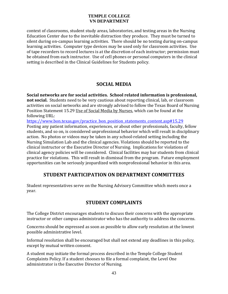context of classrooms, student study areas, laboratories, and testing areas in the Nursing Education Center due to the inevitable distraction they produce. They must be turned to silent during on-campus learning activities. There should be no texting during on-campus learning activities. Computer type devices may be used only for classroom activities. Use of tape recorders to record lectures is at the discretion of each instructor; permission must be obtained from each instructor. Use of cell phones or personal computers in the clinical setting is described in the Clinical Guidelines for Students policy.

### **SOCIAL MEDIA**

**Social networks are for social activities. School related information is professional, not social.** Students need to be very cautious about reporting clinical, lab, or classroom activities on social networks and are strongly advised to follow the Texas Board of Nursing Position Statement 15.29 Use of Social Media by Nurses, which can be found at the following URL:

https://www.bon.texas.gov/practice\_bon\_position\_statements\_content.asp#15.29 Posting any patient information, experiences, or about other professionals, faculty, fellow students, and so on, is considered unprofessional behavior which will result in disciplinary action. No photos or videos may be taken in any school-related setting including the Nursing Simulation Lab and the clinical agencies. Violations should be reported to the clinical instructor or the Executive Director of Nursing. Implications for violations of clinical agency policies will be considered. Clinical facilities may bar students from clinical practice for violations. This will result in dismissal from the program. Future employment opportunities can be seriously jeopardized with nonprofessional behavior in this area.

# **STUDENT PARTICIPATION ON DEPARTMENT COMMITTEES**

Student representatives serve on the Nursing Advisory Committee which meets once a year. 

# **STUDENT COMPLAINTS**

The College District encourages students to discuss their concerns with the appropriate instructor or other campus administrator who has the authority to address the concerns.

Concerns should be expressed as soon as possible to allow early resolution at the lowest possible administrative level.

Informal resolution shall be encouraged but shall not extend any deadlines in this policy, except by mutual written consent.

A student may initiate the formal process described in the Temple College Student Complaints Policy. If a student chooses to file a formal complaint, the Level One administrator is the Executive Director of Nursing.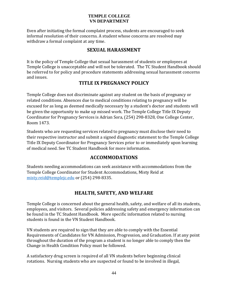Even after initiating the formal complaint process, students are encouraged to seek informal resolution of their concerns. A student whose concerns are resolved may withdraw a formal complaint at any time.

### **SEXUAL HARASSMENT**

It is the policy of Temple College that sexual harassment of students or employees at Temple College is unacceptable and will not be tolerated. The TC Student Handbook should be referred to for policy and procedure statements addressing sexual harassment concerns and issues.

### **TITLE IX PREGNANCY POLICY**

Temple College does not discriminate against any student on the basis of pregnancy or related conditions. Absences due to medical conditions relating to pregnancy will be excused for as long as deemed medically necessary by a student's doctor and students will be given the opportunity to make up missed work. The Temple College Title IX Deputy Coordinator for Pregnancy Services is Adrian Sora, (254) 298-8328, One College Center, Room 1473. 

Students who are requesting services related to pregnancy must disclose their need to their respective instructor and submit a signed diagnostic statement to the Temple College Title IX Deputy Coordinator for Pregnancy Services prior to or immediately upon learning of medical need. See TC Student Handbook for more information.

# **ACCOMMODATIONS**

Students needing accommodations can seek assistance with accommodations from the Temple College Coordinator for Student Accommodations, Misty Reid at misty.reid@templejc.edu or (254) 298-8335.

# **HEALTH, SAFETY, AND WELFARE**

Temple College is concerned about the general health, safety, and welfare of all its students, employees, and visitors. Several policies addressing safety and emergency information can be found in the TC Student Handbook. More specific information related to nursing students is found in the VN Student Handbook.

VN students are required to sign that they are able to comply with the Essential Requirements of Candidates for VN Admission, Progression, and Graduation. If at any point throughout the duration of the program a student is no longer able to comply then the Change in Health Condition Policy must be followed.

A satisfactory drug screen is required of all VN students before beginning clinical rotations. Nursing students who are suspected or found to be involved in illegal,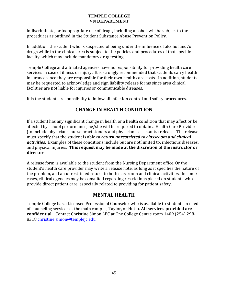indiscriminate, or inappropriate use of drugs, including alcohol, will be subject to the procedures as outlined in the Student Substance Abuse Prevention Policy.

In addition, the student who is suspected of being under the influence of alcohol and/or drugs while in the clinical area is subject to the policies and procedures of that specific facility, which may include mandatory drug testing.

Temple College and affiliated agencies have no responsibility for providing health care services in case of illness or injury. It is strongly recommended that students carry health insurance since they are responsible for their own health care costs. In addition, students may be requested to acknowledge and sign liability release forms since area clinical facilities are not liable for injuries or communicable diseases.

It is the student's responsibility to follow all infection control and safety procedures.

# **CHANGE IN HEALTH CONDITION**

If a student has any significant change in health or a health condition that may affect or be affected by school performance, he/she will be required to obtain a Health Care Provider (to include physicians, nurse practitioners and physician's assistants) release. The release must specify that the student is able *to return unrestricted to classroom and clinical activities.* Examples of these conditions include but are not limited to: infectious diseases, and physical injuries. **This request may be made at the discretion of the instructor or director**. 

A release form is available to the student from the Nursing Department office. Or the student's health care provider may write a release note, as long as it specifies the nature of the problem, and an unrestricted return to both classroom and clinical activities. In some cases, clinical agencies may be consulted regarding restrictions placed on students who provide direct patient care, especially related to providing for patient safety.

# **MENTAL HEALTH**

Temple College has a Licensed Professional Counselor who is available to students in need of counseling services at the main campus, Taylor, or Hutto. **All services provided are confidential.** Contact Christine Simon LPC at One College Centre room 1409 (254) 298-8318 christine.simon@templejc.edu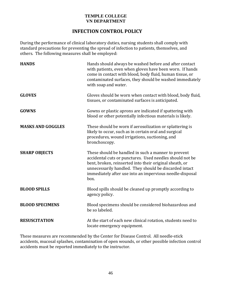# **INFECTION CONTROL POLICY**

During the performance of clinical laboratory duties, nursing students shall comply with standard precautions for preventing the spread of infection to patients, themselves, and others. The following measures shall be employed:

| <b>HANDS</b>             | Hands should always be washed before and after contact<br>with patients, even when gloves have been worn. If hands<br>come in contact with blood, body fluid, human tissue, or<br>contaminated surfaces, they should be washed immediately<br>with soap and water.                                       |
|--------------------------|----------------------------------------------------------------------------------------------------------------------------------------------------------------------------------------------------------------------------------------------------------------------------------------------------------|
| <b>GLOVES</b>            | Gloves should be worn when contact with blood, body fluid,<br>tissues, or contaminated surfaces is anticipated.                                                                                                                                                                                          |
| <b>GOWNS</b>             | Gowns or plastic aprons are indicated if spattering with<br>blood or other potentially infectious materials is likely.                                                                                                                                                                                   |
| <b>MASKS AND GOGGLES</b> | These should be worn if aerosolization or splattering is<br>likely to occur, such as in certain oral and surgical<br>procedures, wound irrigations, suctioning, and<br>bronchoscopy.                                                                                                                     |
| <b>SHARP OBJECTS</b>     | These should be handled in such a manner to prevent<br>accidental cuts or punctures. Used needles should not be<br>bent, broken, reinserted into their original sheath, or<br>unnecessarily handled. They should be discarded intact<br>immediately after use into an impervious needle-disposal<br>box. |
| <b>BLOOD SPILLS</b>      | Blood spills should be cleaned up promptly according to<br>agency policy.                                                                                                                                                                                                                                |
| <b>BLOOD SPECIMENS</b>   | Blood specimens should be considered biohazardous and<br>be so labeled.                                                                                                                                                                                                                                  |
| <b>RESUSCITATION</b>     | At the start of each new clinical rotation, students need to<br>locate emergency equipment.                                                                                                                                                                                                              |

These measures are recommended by the Center for Disease Control. All needle-stick accidents, mucosal splashes, contamination of open wounds, or other possible infection control accidents must be reported immediately to the instructor.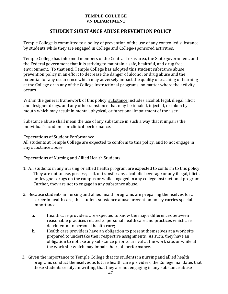# **STUDENT SUBSTANCE ABUSE PREVENTION POLICY**

Temple College is committed to a policy of prevention of the use of any controlled substance by students while they are engaged in College and College-sponsored activities.

Temple College has informed members of the Central Texas area, the State government, and the Federal government that it is striving to maintain a safe, healthful, and drug free environment. To that end, Temple College has adopted this student substance abuse prevention policy in an effort to decrease the danger of alcohol or drug abuse and the potential for any occurrence which may adversely impact the quality of teaching or learning at the College or in any of the College instructional programs, no matter where the activity occurs. 

Within the general framework of this policy, substance includes alcohol, legal, illegal, illicit and designer drugs, and any other substance that may be inhaled, injected, or taken by mouth which may result in mental, physical, or functional impairment of the user.

Substance abuse shall mean the use of any substance in such a way that it impairs the individual's academic or clinical performance.

#### **Expectations of Student Performance**

All students at Temple College are expected to conform to this policy, and to not engage in any substance abuse.

Expectations of Nursing and Allied Health Students.

- 1. All students in any nursing or allied health program are expected to conform to this policy. They are not to use, possess, sell, or transfer any alcoholic beverage or any illegal, illicit, or designer drugs on the campus or while engaged in any college instructional program. Further, they are not to engage in any substance abuse.
- 2. Because students in nursing and allied health programs are preparing themselves for a career in health care, this student substance abuse prevention policy carries special importance:
	- a. Health care providers are expected to know the major differences between reasonable practices related to personal health care and practices which are detrimental to personal health care;
	- b. Health care providers have an obligation to present themselves at a work site prepared to undertake their respective assignments. As such, they have an obligation to not use any substance prior to arrival at the work site, or while at the work site which may impair their job performance.
- 3. Given the importance to Temple College that its students in nursing and allied health programs conduct themselves as future health care providers, the College mandates that those students certify, in writing, that they are not engaging in any substance abuse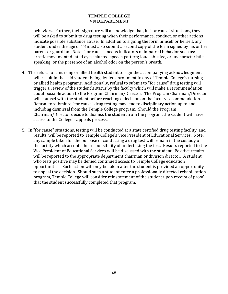behaviors. Further, their signature will acknowledge that, in "for cause" situations, they will be asked to submit to drug testing when their performance, conduct, or other actions indicate possible substance abuse. In addition to signing the form himself or herself, any student under the age of 18 must also submit a second copy of the form signed by his or her parent or guardian. Note: "for cause" means indicators of impaired behavior such as: erratic movement; dilated eyes; slurred speech pattern; loud, abusive, or uncharacteristic speaking; or the presence of an alcohol odor on the person's breath.

- 4. The refusal of a nursing or allied health student to sign the accompanying acknowledgment will result in the said student being denied enrollment in any of Temple College's nursing or allied health programs. Additionally, refusal to submit to "for cause" drug testing will trigger a review of the student's status by the faculty which will make a recommendation about possible action to the Program Chairman/Director. The Program Chairman/Director will counsel with the student before reaching a decision on the faculty recommendation. Refusal to submit to "for cause" drug testing may lead to disciplinary action up to and including dismissal from the Temple College program. Should the Program Chairman/Director decide to dismiss the student from the program, the student will have access to the College's appeals process.
- 5. In "for cause" situations, testing will be conducted at a state certified drug testing facility, and results, will be reported to Temple College's Vice President of Educational Services. Note: any sample taken for the purpose of conducting a drug test will remain in the custody of the facility which accepts the responsibility of undertaking the test. Results reported to the Vice President of Educational Services will be discussed with the student. Positive results will be reported to the appropriate department chairman or division director. A student who tests positive may be denied continued access to Temple College education opportunities. Such action will only be taken after the student is provided an opportunity to appeal the decision. Should such a student enter a professionally directed rehabilitation program, Temple College will consider reinstatement of the student upon receipt of proof that the student successfully completed that program.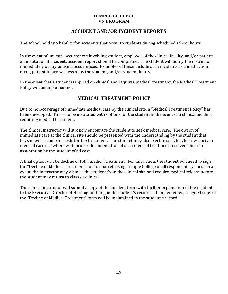#### **TEMPLE COLLEGE VN PROGRAM**

# **ACCIDENT AND/OR INCIDENT REPORTS**

The school holds no liability for accidents that occur to students during scheduled school hours.

In the event of unusual occurrences involving student, employee of the clinical facility, and/or patient, an institutional incident/accident report should be completed. The student will notify the instructor immediately of any unusual occurrences. Examples of these include such incidents as a medication error, patient injury witnessed by the student, and/or student injury.

In the event that a student is injured on clinical and requires medical treatment, the Medical Treatment Policy will be implemented.

# **MEDICAL TREATMENT POLICY**

Due to non-coverage of immediate medical care by the clinical site, a "Medical Treatment Policy" has been developed. This is to be instituted with options for the student in the event of a clinical incident requiring medical treatment.

The clinical instructor will strongly encourage the student to seek medical care. The option of immediate care at the clinical site should be presented with the understanding by the student that he/she will assume all costs for the treatment. The student may also elect to seek his/her own private medical care elsewhere with proper documentation of such medical treatment received and total assumption by the student of all cost.

A final option will be decline of total medical treatment. For this action, the student will need to sign the "Decline of Medical Treatment" form, thus releasing Temple College of all responsibility. In such an event, the instructor may dismiss the student from the clinical site and require medical release before the student may return to class or clinical.

The clinical instructor will submit a copy of the incident form with further explanation of the incident to the Executive Director of Nursing for filing in the student's records. If implemented, a signed copy of the "Decline of Medical Treatment" form will be maintained in the student's record.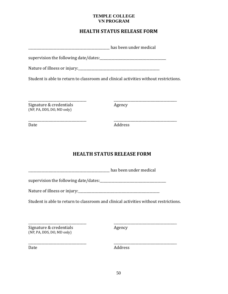#### **TEMPLE COLLEGE VN PROGRAM**

# **HEALTH STATUS RELEASE FORM**

|                                                       | <b>EXAMPLE 2012</b> has been under medical                                           |
|-------------------------------------------------------|--------------------------------------------------------------------------------------|
|                                                       |                                                                                      |
|                                                       |                                                                                      |
|                                                       | Student is able to return to classroom and clinical activities without restrictions. |
|                                                       |                                                                                      |
| Signature & credentials<br>(NP, PA, DDS, DO, MD only) | Agency                                                                               |
| Date                                                  | Address                                                                              |
|                                                       |                                                                                      |
|                                                       | <b>HEALTH STATUS RELEASE FORM</b>                                                    |
|                                                       | <b>Example 2</b> has been under medical                                              |
|                                                       |                                                                                      |
|                                                       |                                                                                      |
|                                                       | Student is able to return to classroom and clinical activities without restrictions. |

Date Address

 \_\_\_\_\_\_\_\_\_\_\_\_\_\_\_\_\_\_\_\_\_\_\_\_\_\_\_\_\_\_\_\_\_\_\_ \_\_\_\_\_\_\_\_\_\_\_\_\_\_\_\_\_\_\_\_\_\_\_\_\_\_\_\_\_\_\_\_\_\_\_\_\_\_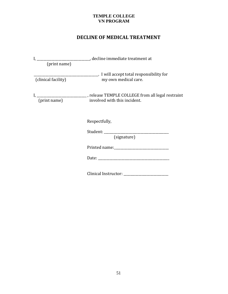#### **TEMPLE COLLEGE VN PROGRAM**

# **DECLINE OF MEDICAL TREATMENT**

| (print name)        |                                                                                                                  |
|---------------------|------------------------------------------------------------------------------------------------------------------|
| (clinical facility) | my own medical care.                                                                                             |
| (print name)        | I, ____________________________, release TEMPLE COLLEGE from all legal restraint<br>involved with this incident. |
|                     | Respectfully,                                                                                                    |
|                     | (signature)                                                                                                      |
|                     |                                                                                                                  |
|                     |                                                                                                                  |
|                     | Clinical Instructor: ___________                                                                                 |